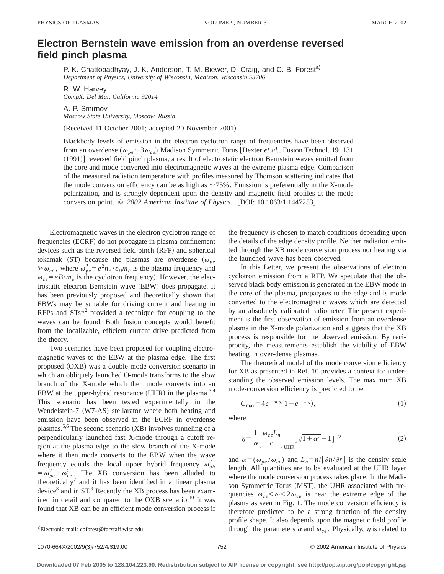## **Electron Bernstein wave emission from an overdense reversed field pinch plasma**

P. K. Chattopadhyay, J. K. Anderson, T. M. Biewer, D. Craig, and C. B. Forest<sup>a)</sup> *Department of Physics, University of Wisconsin, Madison, Wisconsin 53706*

R. W. Harvey *CompX, Del Mar, California 92014*

A. P. Smirnov *Moscow State University, Moscow, Russia*

(Received 11 October 2001; accepted 20 November 2001)

Blackbody levels of emission in the electron cyclotron range of frequencies have been observed from an overdense ( $\omega_{pe} \sim 3\omega_{ce}$ ) Madison Symmetric Torus [Dexter *et al.*, Fusion Technol. **19**, 131 (1991)] reversed field pinch plasma, a result of electrostatic electron Bernstein waves emitted from the core and mode converted into electromagnetic waves at the extreme plasma edge. Comparison of the measured radiation temperature with profiles measured by Thomson scattering indicates that the mode conversion efficiency can be as high as  $\sim$  75%. Emission is preferentially in the X-mode polarization, and is strongly dependent upon the density and magnetic field profiles at the mode conversion point. © 2002 American Institute of Physics. [DOI: 10.1063/1.1447253]

Electromagnetic waves in the electron cyclotron range of frequencies (ECRF) do not propagate in plasma confinement devices such as the reversed field pinch (RFP) and spherical tokamak  $(ST)$  because the plasmas are overdense  $(\omega_{pe})$  $\gg \omega_{ce}$ , where  $\omega_{pe}^2 = e^2 n_e / \varepsilon_0 m_e$  is the plasma frequency and  $\omega_{ce} = eB/m_e$  is the cyclotron frequency). However, the electrostatic electron Bernstein wave (EBW) does propagate. It has been previously proposed and theoretically shown that EBWs may be suitable for driving current and heating in RFPs and  $STs^{1,2}$  provided a technique for coupling to the waves can be found. Both fusion concepts would benefit from the localizable, efficient current drive predicted from the theory.

Two scenarios have been proposed for coupling electromagnetic waves to the EBW at the plasma edge. The first proposed (OXB) was a double mode conversion scenario in which an obliquely launched O-mode transforms to the slow branch of the X-mode which then mode converts into an EBW at the upper-hybrid resonance (UHR) in the plasma.<sup>3,4</sup> This scenario has been tested experimentally in the Wendelstein-7 (W7-AS) stellarator where both heating and emission have been observed in the ECRF in overdense plasmas.<sup>5,6</sup> The second scenario  $(XB)$  involves tunneling of a perpendicularly launched fast X-mode through a cutoff region at the plasma edge to the slow branch of the X-mode where it then mode converts to the EBW when the wave frequency equals the local upper hybrid frequency  $\omega_{uh}^2$  $=\omega_{pe}^2 + \omega_{ce}^2$ . The XB conversion has been alluded to theoretically<sup>7</sup> and it has been identified in a linear plasma device $8$  and in ST. $9$  Recently the XB process has been examined in detail and compared to the OXB scenario.<sup>10</sup> It was found that XB can be an efficient mode conversion process if the frequency is chosen to match conditions depending upon the details of the edge density profile. Neither radiation emitted through the XB mode conversion process nor heating via the launched wave has been observed.

In this Letter, we present the observations of electron cyclotron emission from a RFP. We speculate that the observed black body emission is generated in the EBW mode in the core of the plasma, propagates to the edge and is mode converted to the electromagnetic waves which are detected by an absolutely calibrated radiometer. The present experiment is the first observation of emission from an overdense plasma in the X-mode polarization and suggests that the XB process is responsible for the observed emission. By reciprocity, the measurements establish the viability of EBW heating in over-dense plasmas.

The theoretical model of the mode conversion efficiency for XB as presented in Ref. 10 provides a context for understanding the observed emission levels. The maximum XB mode-conversion efficiency is predicted to be

$$
C_{\text{max}} = 4e^{-\pi\eta}(1 - e^{-\pi\eta}),\tag{1}
$$

where

$$
\eta = \frac{1}{\alpha} \left[ \frac{\omega_{ce} L_n}{c} \right]_{\text{UHR}} \left[ \sqrt{1 + \alpha^2} - 1 \right]^{1/2} \tag{2}
$$

and  $\alpha = (\omega_{pe}/\omega_{ce})$  and  $L_n = n/|\partial n/\partial r|$  is the density scale length. All quantities are to be evaluated at the UHR layer where the mode conversion process takes place. In the Madison Symmetric Torus (MST), the UHR associated with frequencies  $\omega_{ce} < \omega < 2\omega_{ce}$  is near the extreme edge of the plasma as seen in Fig. 1. The mode conversion efficiency is therefore predicted to be a strong function of the density profile shape. It also depends upon the magnetic field profile through the parameters  $\alpha$  and  $\omega_{ce}$ . Physically,  $\eta$  is related to

Electronic mail: cbforest@facstaff.wisc.edu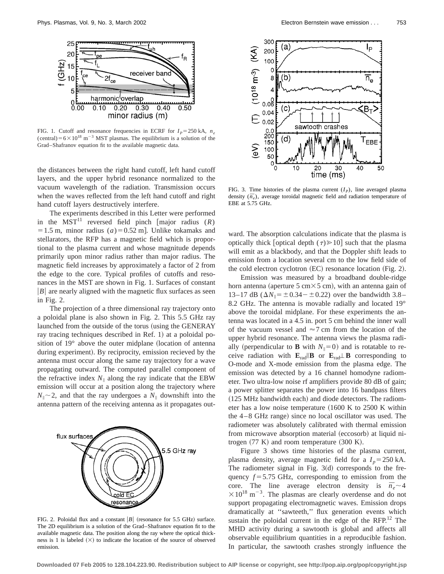

FIG. 1. Cutoff and resonance frequencies in ECRF for  $I_p = 250$  kA,  $n_e$ (central)= $6\times10^{18}$  m<sup>-3</sup> MST plasmas. The equilibrium is a solution of the Grad–Shafranov equation fit to the available magnetic data.

the distances between the right hand cutoff, left hand cutoff layers, and the upper hybrid resonance normalized to the vacuum wavelength of the radiation. Transmission occurs when the waves reflected from the left hand cutoff and right hand cutoff layers destructively interfere.

The experiments described in this Letter were performed in the  $MST<sup>11</sup>$  reversed field pinch [major radius  $(R)$  $=1.5$  m, minor radius (*a*)=0.52 m]. Unlike tokamaks and stellarators, the RFP has a magnetic field which is proportional to the plasma current and whose magnitude depends primarily upon minor radius rather than major radius. The magnetic field increases by approximately a factor of 2 from the edge to the core. Typical profiles of cutoffs and resonances in the MST are shown in Fig. 1. Surfaces of constant  $|B|$  are nearly aligned with the magnetic flux surfaces as seen in Fig. 2.

The projection of a three dimensional ray trajectory onto a poloidal plane is also shown in Fig. 2. This 5.5 GHz ray launched from the outside of the torus (using the GENERAY ray tracing techniques described in Ref. 1) at a poloidal position of  $19^{\circ}$  above the outer midplane (location of antenna during experiment). By reciprocity, emission recieved by the antenna must occur along the same ray trajectory for a wave propagating outward. The computed parallel component of the refractive index  $N_{\parallel}$  along the ray indicate that the EBW emission will occur at a position along the trajectory where  $N_{\parallel}$   $\sim$  2, and that the ray undergoes a  $N_{\parallel}$  downshift into the antenna pattern of the receiving antenna as it propagates out-



FIG. 2. Poloidal flux and a constant  $|B|$  (resonance for 5.5 GHz) surface. The 2D equilibrium is a solution of the Grad–Shafranov equation fit to the available magnetic data. The position along the ray where the optical thickness is 1 is labeled  $(\times)$  to indicate the location of the source of observed emission.



FIG. 3. Time histories of the plasma current  $(I_p)$ , line averaged plasma density  $(\bar{n}_e)$ , average toroidal magnetic field and radiation temperature of EBE at 5.75 GHz.

ward. The absorption calculations indicate that the plasma is optically thick [optical depth  $(\tau) \ge 10$ ] such that the plasma will emit as a blackbody, and that the Doppler shift leads to emission from a location several cm to the low field side of the cold electron cyclotron  $(EC)$  resonance location  $(Fig. 2)$ .

Emission was measured by a broadband double-ridge horn antenna (aperture 5 cm $\times$ 5 cm), with an antenna gain of 13–17 dB  $(\Delta N_{\parallel} = \pm 0.34 - \pm 0.22)$  over the bandwidth 3.8– 8.2 GHz. The antenna is movable radially and located 19° above the toroidal midplane. For these experiments the antenna was located in a 4.5 in. port 5 cm behind the inner wall of the vacuum vessel and  $\approx$  7 cm from the location of the upper hybrid resonance. The antenna views the plasma radially (perpendicular to **B** with  $N_{\parallel}=0$ ) and is rotatable to receive radiation with  $\mathbf{E}_{rad}||\mathbf{B}$  or  $\mathbf{E}_{rad}\perp \mathbf{B}$  corresponding to O-mode and X-mode emission from the plasma edge. The emission was detected by a 16 channel homodyne radiometer. Two ultra-low noise rf amplifiers provide 80 dB of gain; a power splitter separates the power into 16 bandpass filters  $(125 \text{ MHz}$  bandwidth each) and diode detectors. The radiometer has a low noise temperature  $(1600 \text{ K to } 2500 \text{ K with}$ the  $4-8$  GHz range) since no local oscillator was used. The radiometer was absolutely calibrated with thermal emission from microwave absorption material (eccosorb) at liquid nitrogen  $(77 K)$  and room temperature  $(300 K)$ .

Figure 3 shows time histories of the plasma current, plasma density, average magnetic field for a  $I_p = 250$  kA. The radiometer signal in Fig.  $3(d)$  corresponds to the frequency  $f = 5.75$  GHz, corresponding to emission from the core. The line average electron density is  $\bar{n}_e \sim 4$  $\times 10^{18}$  m<sup>-3</sup>. The plasmas are clearly overdense and do not support propagating electromagnetic waves. Emission drops dramatically at ''sawteeth,'' flux generation events which sustain the poloidal current in the edge of the  $RFP<sup>12</sup>$ . The MHD activity during a sawtooth is global and affects all observable equilibrium quantities in a reproducible fashion. In particular, the sawtooth crashes strongly influence the

**Downloaded 07 Feb 2005 to 128.104.223.90. Redistribution subject to AIP license or copyright, see http://pop.aip.org/pop/copyright.jsp**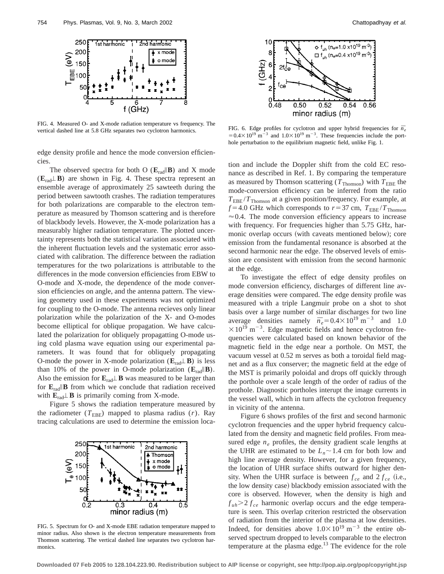

FIG. 4. Measured O- and X-mode radiation temperature vs frequency. The vertical dashed line at 5.8 GHz separates two cyclotron harmonics.

edge density profile and hence the mode conversion efficiencies.

The observed spectra for both O ( $\mathbf{E}_{rad}$ **IIB**) and X mode  $(E_{rad}\perp B)$  are shown in Fig. 4. These spectra represent an ensemble average of approximately 25 sawteeth during the period between sawtooth crashes. The radiation temperatures for both polarizations are comparable to the electron temperature as measured by Thomson scattering and is therefore of blackbody levels. However, the X-mode polarization has a measurably higher radiation temperature. The plotted uncertainty represents both the statistical variation associated with the inherent fluctuation levels and the systematic error associated with calibration. The difference between the radiation temperatures for the two polarizations is attributable to the differences in the mode conversion efficiencies from EBW to O-mode and X-mode, the dependence of the mode conversion efficiencies on angle, and the antenna pattern. The viewing geometry used in these experiments was not optimized for coupling to the O-mode. The antenna recieves only linear polarization while the polarization of the X- and O-modes become elliptical for oblique propagation. We have calculated the polarization for obliquely propagatting O-mode using cold plasma wave equation using our experimental parameters. It was found that for obliquely propagating O-mode the power in X-mode polarization  $(E_{rad} \perp B)$  is less than 10% of the power in O-mode polarization  $(\mathbf{E}_{rad}||\mathbf{B})$ . Also the emission for  $\mathbf{E}_{rad} \perp \mathbf{B}$  was measured to be larger than for  $\mathbf{E}_{rad}$  **B** from which we conclude that radiation received with  $\mathbf{E}_{rad} \perp \mathbf{B}$  is primarily coming from X-mode.

Figure 5 shows the radiation temperature measured by the radiometer ( $T_{\text{EBE}}$ ) mapped to plasma radius (*r*). Ray tracing calculations are used to determine the emission loca-



FIG. 5. Spectrum for O- and X-mode EBE radiation temperature mapped to minor radius. Also shown is the electron temperature measurements from Thomson scattering. The vertical dashed line separates two cyclotron harmonics.



FIG. 6. Edge profiles for cyclotron and upper hybrid frequencies for  $\bar{n}_e$  $=0.4\times10^{19} \text{ m}^{-3}$  and  $1.0\times10^{19} \text{ m}^{-3}$ . These frequencies include the porthole perturbation to the equilibrium magnetic field, unlike Fig. 1.

tion and include the Doppler shift from the cold EC resonance as described in Ref. 1. By comparing the temperature as measured by Thomson scattering ( $T_{\text{Thomson}}$ ) with  $T_{\text{EBE}}$  the mode-conversion efficiency can be inferred from the ratio *T*EBE /*T*Thomson at a given position/frequency. For example, at  $f = 4.0$  GHz which corresponds to  $r = 37$  cm,  $T_{EBE}/T_{Thomson}$  $\approx 0.4$ . The mode conversion efficiency appears to increase with frequency. For frequencies higher than 5.75 GHz, harmonic overlap occurs (with caveats mentioned below); core emission from the fundamental resonance is absorbed at the second harmonic near the edge. The observed levels of emission are consistent with emission from the second harmonic at the edge.

To investigate the effect of edge density profiles on mode conversion efficiency, discharges of different line average densities were compared. The edge density profile was measured with a triple Langmuir probe on a shot to shot basis over a large number of similar discharges for two line average densities namely  $\bar{n}_e = 0.4 \times 10^{19} \text{ m}^{-3}$  and 1.0  $\times 10^{19}$  m<sup>-3</sup>. Edge magnetic fields and hence cyclotron frequencies were calculated based on known behavior of the magnetic field in the edge near a porthole. On MST, the vacuum vessel at 0.52 m serves as both a toroidal field magnet and as a flux conserver; the magnetic field at the edge of the MST is primarily poloidal and drops off quickly through the porthole over a scale length of the order of radius of the prothole. Diagnostic portholes interupt the image currents in the vessel wall, which in turn affects the cyclotron frequency in vicinity of the antenna.

Figure 6 shows profiles of the first and second harmonic cyclotron frequencies and the upper hybrid frequency calculated from the density and magnetic field profiles. From measured edge  $n_e$  profiles, the density gradient scale lengths at the UHR are estimated to be  $L_n \sim 1.4$  cm for both low and high line average density. However, for a given frequency, the location of UHR surface shifts outward for higher density. When the UHR surface is between  $f_{ce}$  and  $2 f_{ce}$  (i.e., the low density case) blackbody emission associated with the core is observed. However, when the density is high and  $f_{uh}$   $\geq$  *f ce* harmonic overlap occurs and the edge temperature is seen. This overlap criterion restricted the observation of radiation from the interior of the plasma at low densities. Indeed, for densities above  $1.0\times10^{19}$  m<sup>-3</sup> the entire observed spectrum dropped to levels comparable to the electron temperature at the plasma edge.13 The evidence for the role

**Downloaded 07 Feb 2005 to 128.104.223.90. Redistribution subject to AIP license or copyright, see http://pop.aip.org/pop/copyright.jsp**